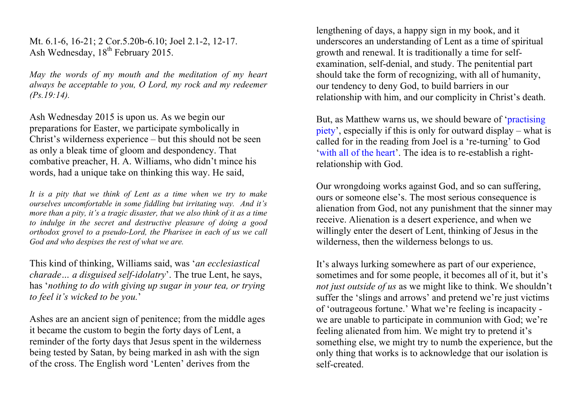Mt. 6.1-6, 16-21; 2 Cor.5.20b-6.10; Joel 2.1-2, 12-17. Ash Wednesday, 18<sup>th</sup> February 2015.

*May the words of my mouth and the meditation of my heart always be acceptable to you, O Lord, my rock and my redeemer (Ps.19:14).*

Ash Wednesday 2015 is upon us. As we begin our preparations for Easter, we participate symbolically in Christ's wilderness experience – but this should not be seen as only a bleak time of gloom and despondency. That combative preacher, H. A. Williams, who didn't mince his words, had a unique take on thinking this way. He said,

*It is a pity that we think of Lent as a time when we try to make ourselves uncomfortable in some fiddling but irritating way. And it's more than a pity, it's a tragic disaster, that we also think of it as a time to indulge in the secret and destructive pleasure of doing a good orthodox grovel to a pseudo-Lord, the Pharisee in each of us we call God and who despises the rest of what we are.*

This kind of thinking, Williams said, was '*an ecclesiastical charade… a disguised self-idolatry*'. The true Lent, he says, has '*nothing to do with giving up sugar in your tea, or trying to feel it's wicked to be you.*'

Ashes are an ancient sign of penitence; from the middle ages it became the custom to begin the forty days of Lent, a reminder of the forty days that Jesus spent in the wilderness being tested by Satan, by being marked in ash with the sign of the cross. The English word 'Lenten' derives from the

lengthening of days, a happy sign in my book, and it underscores an understanding of Lent as a time of spiritual growth and renewal. It is traditionally a time for selfexamination, self-denial, and study. The penitential part should take the form of recognizing, with all of humanity, our tendency to deny God, to build barriers in our relationship with him, and our complicity in Christ's death.

But, as Matthew warns us, we should beware of 'practising piety', especially if this is only for outward display – what is called for in the reading from Joel is a 're-turning' to God 'with all of the heart'. The idea is to re-establish a rightrelationship with God.

Our wrongdoing works against God, and so can suffering, ours or someone else's. The most serious consequence is alienation from God, not any punishment that the sinner may receive. Alienation is a desert experience, and when we willingly enter the desert of Lent, thinking of Jesus in the wilderness, then the wilderness belongs to us.

It's always lurking somewhere as part of our experience, sometimes and for some people, it becomes all of it, but it's *not just outside of us* as we might like to think. We shouldn't suffer the 'slings and arrows' and pretend we're just victims of 'outrageous fortune.' What we're feeling is incapacity we are unable to participate in communion with God; we're feeling alienated from him. We might try to pretend it's something else, we might try to numb the experience, but the only thing that works is to acknowledge that our isolation is self-created.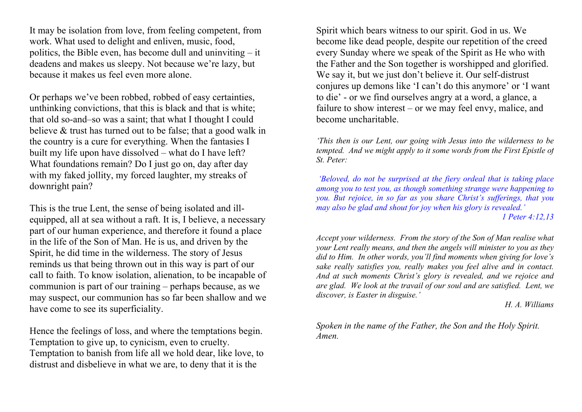It may be isolation from love, from feeling competent, from work. What used to delight and enliven, music, food, politics, the Bible even, has become dull and uninviting – it deadens and makes us sleepy. Not because we're lazy, but because it makes us feel even more alone.

Or perhaps we've been robbed, robbed of easy certainties, unthinking convictions, that this is black and that is white; that old so-and–so was a saint; that what I thought I could believe & trust has turned out to be false; that a good walk in the country is a cure for everything. When the fantasies I built my life upon have dissolved – what do I have left? What foundations remain? Do I just go on, day after day with my faked jollity, my forced laughter, my streaks of downright pain?

This is the true Lent, the sense of being isolated and illequipped, all at sea without a raft. It is, I believe, a necessary part of our human experience, and therefore it found a place in the life of the Son of Man. He is us, and driven by the Spirit, he did time in the wilderness. The story of Jesus reminds us that being thrown out in this way is part of our call to faith. To know isolation, alienation, to be incapable of communion is part of our training – perhaps because, as we may suspect, our communion has so far been shallow and we have come to see its superficiality.

Hence the feelings of loss, and where the temptations begin. Temptation to give up, to cynicism, even to cruelty. Temptation to banish from life all we hold dear, like love, to distrust and disbelieve in what we are, to deny that it is the

Spirit which bears witness to our spirit. God in us. We become like dead people, despite our repetition of the creed every Sunday where we speak of the Spirit as He who with the Father and the Son together is worshipped and glorified. We say it, but we just don't believe it. Our self-distrust conjures up demons like 'I can't do this anymore' or 'I want to die' - or we find ourselves angry at a word, a glance, a failure to show interest – or we may feel envy, malice, and become uncharitable.

*'This then is our Lent, our going with Jesus into the wilderness to be tempted. And we might apply to it some words from the First Epistle of St. Peter:*

*'Beloved, do not be surprised at the fiery ordeal that is taking place among you to test you, as though something strange were happening to you. But rejoice, in so far as you share Christ's sufferings, that you may also be glad and shout for joy when his glory is revealed.'*

*1 Peter 4:12,13*

*Accept your wilderness. From the story of the Son of Man realise what your Lent really means, and then the angels will minister to you as they did to Him. In other words, you'll find moments when giving for love's sake really satisfies you, really makes you feel alive and in contact. And at such moments Christ's glory is revealed, and we rejoice and are glad. We look at the travail of our soul and are satisfied. Lent, we discover, is Easter in disguise.'*

*H. A. Williams*

*Spoken in the name of the Father, the Son and the Holy Spirit. Amen.*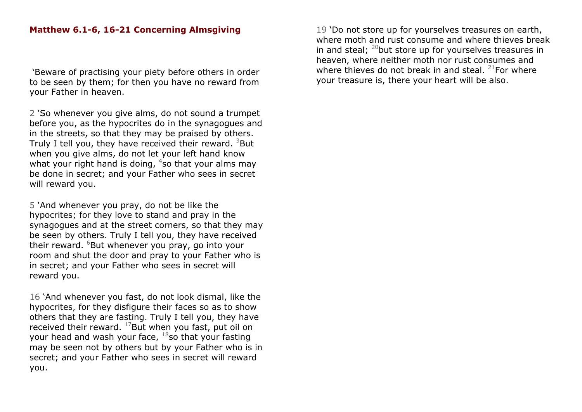## **Matthew 6.1-6, 16-21 Concerning Almsgiving**

'Beware of practising your piety before others in order to be seen by them; for then you have no reward from your Father in heaven.

2 'So whenever you give alms, do not sound a trumpet before you, as the hypocrites do in the synagogues and in the streets, so that they may be praised by others. Truly I tell you, they have received their reward. <sup>3</sup>But when you give alms, do not let your left hand know what your right hand is doing,  $4$ so that your alms may be done in secret; and your Father who sees in secret will reward you.

5 'And whenever you pray, do not be like the hypocrites; for they love to stand and pray in the synagogues and at the street corners, so that they may be seen by others. Truly I tell you, they have received their reward. <sup>6</sup>But whenever you pray, go into your room and shut the door and pray to your Father who is in secret; and your Father who sees in secret will reward you.

16 'And whenever you fast, do not look dismal, like the hypocrites, for they disfigure their faces so as to show others that they are fasting. Truly I tell you, they have received their reward.  $^{17}$ But when you fast, put oil on your head and wash your face,  $18$ so that your fasting may be seen not by others but by your Father who is in secret; and your Father who sees in secret will reward you.

19 'Do not store up for yourselves treasures on earth, where moth and rust consume and where thieves break in and steal;  $^{20}$ but store up for yourselves treasures in heaven, where neither moth nor rust consumes and where thieves do not break in and steal. <sup>21</sup>For where your treasure is, there your heart will be also.